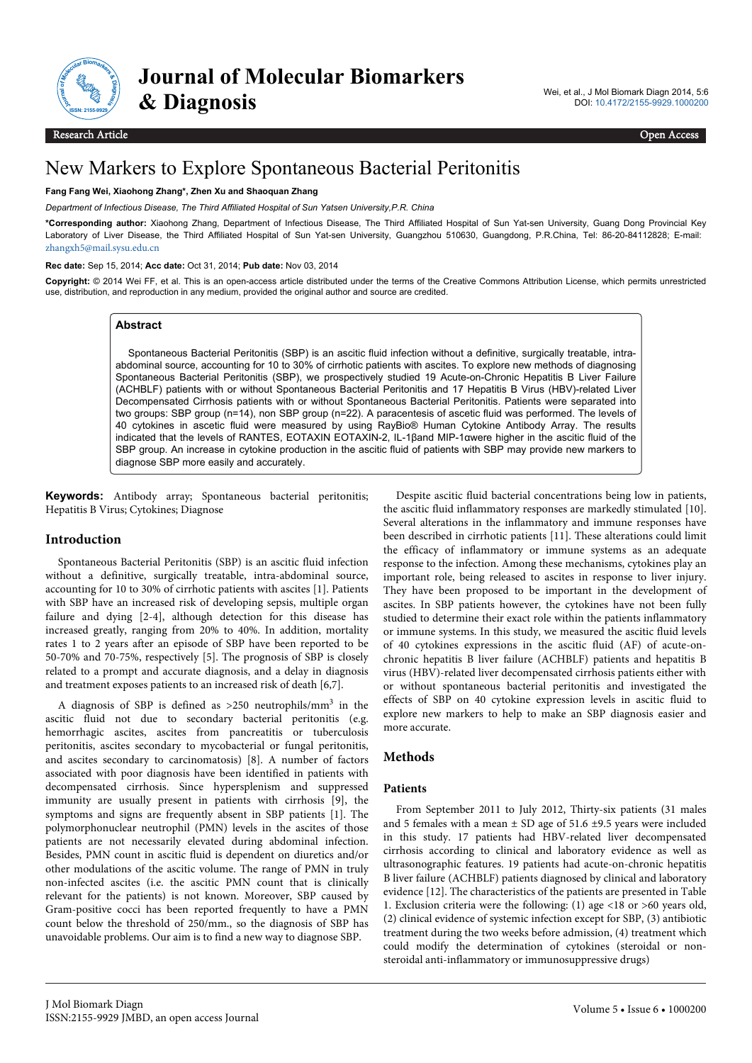

# $\left(\begin{matrix} \frac{1}{2} \\ \frac{1}{2} \\ \frac{1}{2} \end{matrix}\right)$  Journal of Molecular Biomarkers

Wei, et al., J Mol Biomark Diagn 2014, 5:6 DOI: 10.4172/2155-9929.1000200

# New Markers to Explore Spontaneous Bacterial Peritonitis

#### **Fang Fang Wei, Xiaohong Zhang\*, Zhen Xu and Shaoquan Zhang**

*Department of Infectious Disease, The Third Affiliated Hospital of Sun Yatsen University,P.R. China*

**\*Corresponding author:** Xiaohong Zhang, Department of Infectious Disease, The Third Affiliated Hospital of Sun Yat-sen University, Guang Dong Provincial Key Laboratory of Liver Disease, the Third Affiliated Hospital of Sun Yat-sen University, Guangzhou 510630, Guangdong, P.R.China, Tel: 86-20-84112828; E-mail: [zhangxh5@mail.sysu.edu.cn](mailto:zhangxh5@mail.sysu.edu.cn)

**Rec date:** Sep 15, 2014; **Acc date:** Oct 31, 2014; **Pub date:** Nov 03, 2014

**Copyright:** © 2014 Wei FF, et al. This is an open-access article distributed under the terms of the Creative Commons Attribution License, which permits unrestricted use, distribution, and reproduction in any medium, provided the original author and source are credited.

# **Abstract**

Spontaneous Bacterial Peritonitis (SBP) is an ascitic fluid infection without a definitive, surgically treatable, intraabdominal source, accounting for 10 to 30% of cirrhotic patients with ascites. To explore new methods of diagnosing Spontaneous Bacterial Peritonitis (SBP), we prospectively studied 19 Acute-on-Chronic Hepatitis B Liver Failure (ACHBLF) patients with or without Spontaneous Bacterial Peritonitis and 17 Hepatitis B Virus (HBV)-related Liver Decompensated Cirrhosis patients with or without Spontaneous Bacterial Peritonitis. Patients were separated into two groups: SBP group (n=14), non SBP group (n=22). A paracentesis of ascetic fluid was performed. The levels of 40 cytokines in ascetic fluid were measured by using RayBio® Human Cytokine Antibody Array. The results indicated that the levels of RANTES, EOTAXIN EOTAXIN-2, IL-1βand MIP-1αwere higher in the ascitic fluid of the SBP group. An increase in cytokine production in the ascitic fluid of patients with SBP may provide new markers to diagnose SBP more easily and accurately.

**Keywords:** Antibody array; Spontaneous bacterial peritonitis; Hepatitis B Virus; Cytokines; Diagnose

# **Introduction**

Spontaneous Bacterial Peritonitis (SBP) is an ascitic fluid infection without a definitive, surgically treatable, intra-abdominal source, accounting for 10 to 30% of cirrhotic patients with ascites [1]. Patients with SBP have an increased risk of developing sepsis, multiple organ failure and dying [2-4], although detection for this disease has increased greatly, ranging from 20% to 40%. In addition, mortality rates 1 to 2 years after an episode of SBP have been reported to be 50-70% and 70-75%, respectively [5]. The prognosis of SBP is closely related to a prompt and accurate diagnosis, and a delay in diagnosis and treatment exposes patients to an increased risk of death [6,7].

A diagnosis of SBP is defined as >250 neutrophils/mm<sup>3</sup> in the ascitic fluid not due to secondary bacterial peritonitis (e.g. hemorrhagic ascites, ascites from pancreatitis or tuberculosis peritonitis, ascites secondary to mycobacterial or fungal peritonitis, and ascites secondary to carcinomatosis) [8]. A number of factors associated with poor diagnosis have been identified in patients with decompensated cirrhosis. Since hypersplenism and suppressed immunity are usually present in patients with cirrhosis [9], the symptoms and signs are frequently absent in SBP patients [1]. The polymorphonuclear neutrophil (PMN) levels in the ascites of those patients are not necessarily elevated during abdominal infection. Besides, PMN count in ascitic fluid is dependent on diuretics and/or other modulations of the ascitic volume. The range of PMN in truly non-infected ascites (i.e. the ascitic PMN count that is clinically relevant for the patients) is not known. Moreover, SBP caused by Gram-positive cocci has been reported frequently to have a PMN count below the threshold of 250/mm., so the diagnosis of SBP has unavoidable problems. Our aim is to find a new way to diagnose SBP.

Despite ascitic fluid bacterial concentrations being low in patients, the ascitic fluid inflammatory responses are markedly stimulated [10]. Several alterations in the inflammatory and immune responses have been described in cirrhotic patients [11]. These alterations could limit the efficacy of inflammatory or immune systems as an adequate response to the infection. Among these mechanisms, cytokines play an important role, being released to ascites in response to liver injury. They have been proposed to be important in the development of ascites. In SBP patients however, the cytokines have not been fully studied to determine their exact role within the patients inflammatory or immune systems. In this study, we measured the ascitic fluid levels of 40 cytokines expressions in the ascitic fluid (AF) of acute-onchronic hepatitis B liver failure (ACHBLF) patients and hepatitis B virus (HBV)-related liver decompensated cirrhosis patients either with or without spontaneous bacterial peritonitis and investigated the effects of SBP on 40 cytokine expression levels in ascitic fluid to explore new markers to help to make an SBP diagnosis easier and more accurate.

# **Methods**

#### **Patients**

From September 2011 to July 2012, Thirty-six patients (31 males and 5 females with a mean  $\pm$  SD age of 51.6  $\pm$ 9.5 years were included in this study. 17 patients had HBV-related liver decompensated cirrhosis according to clinical and laboratory evidence as well as ultrasonographic features. 19 patients had acute-on-chronic hepatitis B liver failure (ACHBLF) patients diagnosed by clinical and laboratory evidence [12]. The characteristics of the patients are presented in Table 1. Exclusion criteria were the following: (1) age <18 or >60 years old, (2) clinical evidence of systemic infection except for SBP, (3) antibiotic treatment during the two weeks before admission, (4) treatment which could modify the determination of cytokines (steroidal or nonsteroidal anti-inflammatory or immunosuppressive drugs)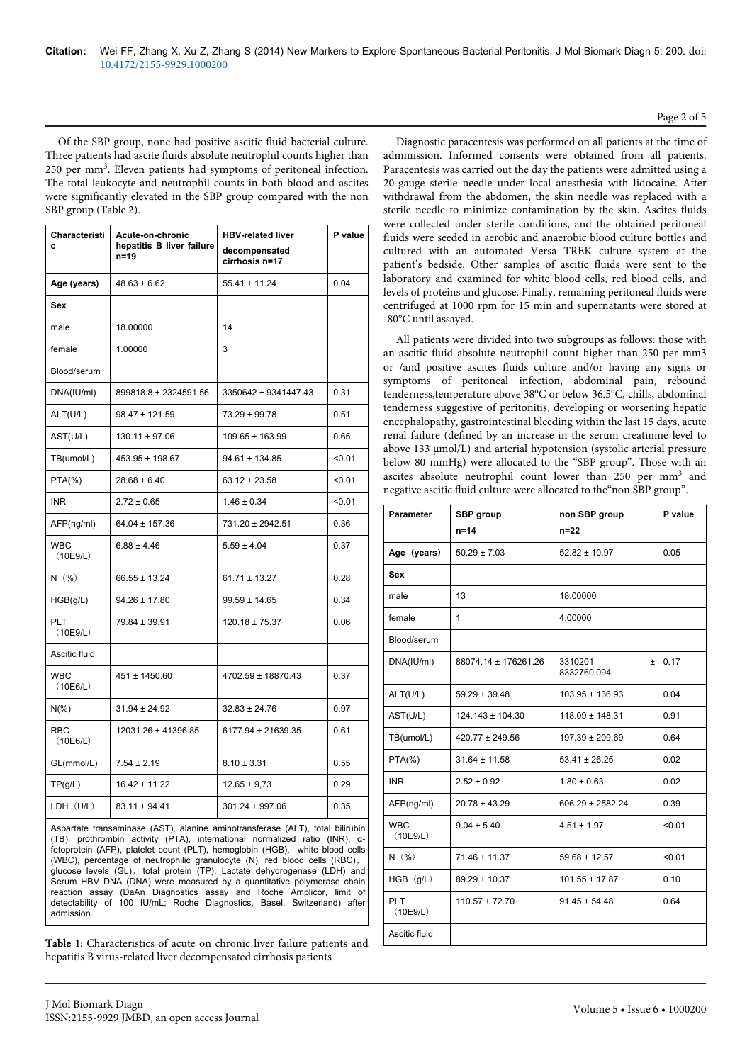Of the SBP group, none had positive ascitic fluid bacterial culture. Three patients had ascite fluids absolute neutrophil counts higher than 250 per mm<sup>3</sup>. Eleven patients had symptoms of peritoneal infection. The total leukocyte and neutrophil counts in both blood and ascites were significantly elevated in the SBP group compared with the non SBP group (Table 2).

| Characteristi          | Acute-on-chronic                    | <b>HBV-related liver</b>        | P value |
|------------------------|-------------------------------------|---------------------------------|---------|
| Ċ                      | hepatitis B liver failure<br>$n=19$ | decompensated<br>cirrhosis n=17 |         |
| Age (years)            | $48.63 \pm 6.62$                    | $55.41 \pm 11.24$               | 0.04    |
| Sex                    |                                     |                                 |         |
| male                   | 18.00000                            | 14                              |         |
| female                 | 1.00000                             | 3                               |         |
| Blood/serum            |                                     |                                 |         |
| DNA(IU/ml)             | 899818.8 ± 2324591.56               | 3350642 ± 9341447.43            | 0.31    |
| ALT(U/L)               | 98.47 ± 121.59                      | 73.29 ± 99.78                   | 0.51    |
| AST(U/L)               | $130.11 \pm 97.06$                  | 109.65 ± 163.99                 | 0.65    |
| TB(umol/L)             | 453.95 ± 198.67                     | $94.61 \pm 134.85$              | < 0.01  |
| $PTA(\%)$              | $28.68 \pm 6.40$                    | $63.12 \pm 23.58$               | < 0.01  |
| <b>INR</b>             | $2.72 \pm 0.65$                     | $1.46 \pm 0.34$                 | < 0.01  |
| AFP(ng/ml)             | 64.04 ± 157.36                      | 731.20 ± 2942.51                | 0.36    |
| <b>WBC</b><br>(10E9/L) | $6.88 \pm 4.46$                     | $5.59 \pm 4.04$                 | 0.37    |
| $N$ (%)                | $66.55 \pm 13.24$                   | $61.71 \pm 13.27$               | 0.28    |
| HGB(g/L)               | $94.26 \pm 17.80$                   | $99.59 \pm 14.65$               | 0.34    |
| PLT<br>(10E9/L)        | 79.84 ± 39.91                       | $120.18 \pm 75.37$              | 0.06    |
| Ascitic fluid          |                                     |                                 |         |
| <b>WBC</b><br>(10E6/L) | 451 ± 1450.60                       | 4702.59 ± 18870.43              | 0.37    |
| $N(\%)$                | $31.94 \pm 24.92$                   | $32.83 \pm 24.76$               | 0.97    |
| <b>RBC</b><br>(10E6/L) | 12031.26 ± 41396.85                 | 6177.94 ± 21639.35              | 0.61    |
| GL(mmol/L)             | $7.54 \pm 2.19$                     | $8.10 \pm 3.31$                 | 0.55    |
| TP(g/L)                | $16.42 \pm 11.22$                   | $12.65 \pm 9.73$                | 0.29    |
| LDH (U/L)              | $83.11 \pm 94.41$                   | $301.24 \pm 997.06$             | 0.35    |

Aspartate transaminase (AST), alanine aminotransferase (ALT), total bilirubin (TB), prothrombin activity (PTA), international normalized ratio (INR), αfetoprotein (AFP), platelet count (PLT), hemoglobin (HGB), white blood cells (WBC), percentage of neutrophilic granulocyte (N), red blood cells (RBC), glucose levels (GL), total protein (TP), Lactate dehydrogenase (LDH) and Serum HBV DNA (DNA) were measured by a quantitative polymerase chain reaction assay (DaAn Diagnostics assay and Roche Amplicor, limit of detectability of 100 IU/mL; Roche Diagnostics, Basel, Switzerland) after admission.

Table 1: Characteristics of acute on chronic liver failure patients and hepatitis B virus-related liver decompensated cirrhosis patients

Diagnostic paracentesis was performed on all patients at the time of admmission. Informed consents were obtained from all patients. Paracentesis was carried out the day the patients were admitted using a 20-gauge sterile needle under local anesthesia with lidocaine. After withdrawal from the abdomen, the skin needle was replaced with a sterile needle to minimize contamination by the skin. Ascites fluids were collected under sterile conditions, and the obtained peritoneal fluids were seeded in aerobic and anaerobic blood culture bottles and cultured with an automated Versa TREK culture system at the patient's bedside. Other samples of ascitic fluids were sent to the laboratory and examined for white blood cells, red blood cells, and levels of proteins and glucose. Finally, remaining peritoneal fluids were centrifuged at 1000 rpm for 15 min and supernatants were stored at -80°C until assayed.

All patients were divided into two subgroups as follows: those with an ascitic fluid absolute neutrophil count higher than 250 per mm3 or /and positive ascites fluids culture and/or having any signs or symptoms of peritoneal infection, abdominal pain, rebound tenderness,temperature above 38°C or below 36.5°C, chills, abdominal tenderness suggestive of peritonitis, developing or worsening hepatic encephalopathy, gastrointestinal bleeding within the last 15 days, acute renal failure (defined by an increase in the serum creatinine level to above 133 μmol/L) and arterial hypotension (systolic arterial pressure below 80 mmHg) were allocated to the "SBP group". Those with an ascites absolute neutrophil count lower than 250 per mm<sup>3</sup> and negative ascitic fluid culture were allocated to the"non SBP group".

| Parameter              | SBP group<br>non SBP group<br>$n=14$<br>$n=22$ |                                 | P value |
|------------------------|------------------------------------------------|---------------------------------|---------|
| Age (years)            | $50.29 \pm 7.03$                               | $52.82 \pm 10.97$               | 0.05    |
| Sex                    |                                                |                                 |         |
| male                   | 13                                             | 18.00000                        |         |
| female                 | 1                                              | 4.00000                         |         |
| Blood/serum            |                                                |                                 |         |
| DNA(IU/ml)             | 88074.14 ± 176261.26                           | 3310201<br>$\pm$<br>8332760.094 | 0.17    |
| ALT(U/L)               | $59.29 \pm 39.48$                              | $103.95 \pm 136.93$             | 0.04    |
| AST(U/L)               | $124.143 \pm 104.30$                           | 118.09 ± 148.31                 | 0.91    |
| TB(umol/L)             | 420.77 ± 249.56                                | 197.39 ± 209.69                 | 0.64    |
| PTA(%)                 | $31.64 \pm 11.58$                              | $53.41 \pm 26.25$               | 0.02    |
| <b>INR</b>             | $2.52 \pm 0.92$                                | $1.80 \pm 0.63$                 | 0.02    |
| AFP(ng/ml)             | $20.78 \pm 43.29$                              | $606.29 \pm 2582.24$            | 0.39    |
| <b>WBC</b><br>(10E9/L) | $9.04 \pm 5.40$                                | $4.51 \pm 1.97$                 | < 0.01  |
| N(%)                   | 71.46 ± 11.37                                  | $59.68 \pm 12.57$               | < 0.01  |
| HGB (g/L)              | $89.29 \pm 10.37$                              | $101.55 \pm 17.87$              | 0.10    |
| PLT<br>(10E9/L)        | $110.57 \pm 72.70$                             | $91.45 \pm 54.48$               | 0.64    |
| Ascitic fluid          |                                                |                                 |         |

#### Page 2 of 5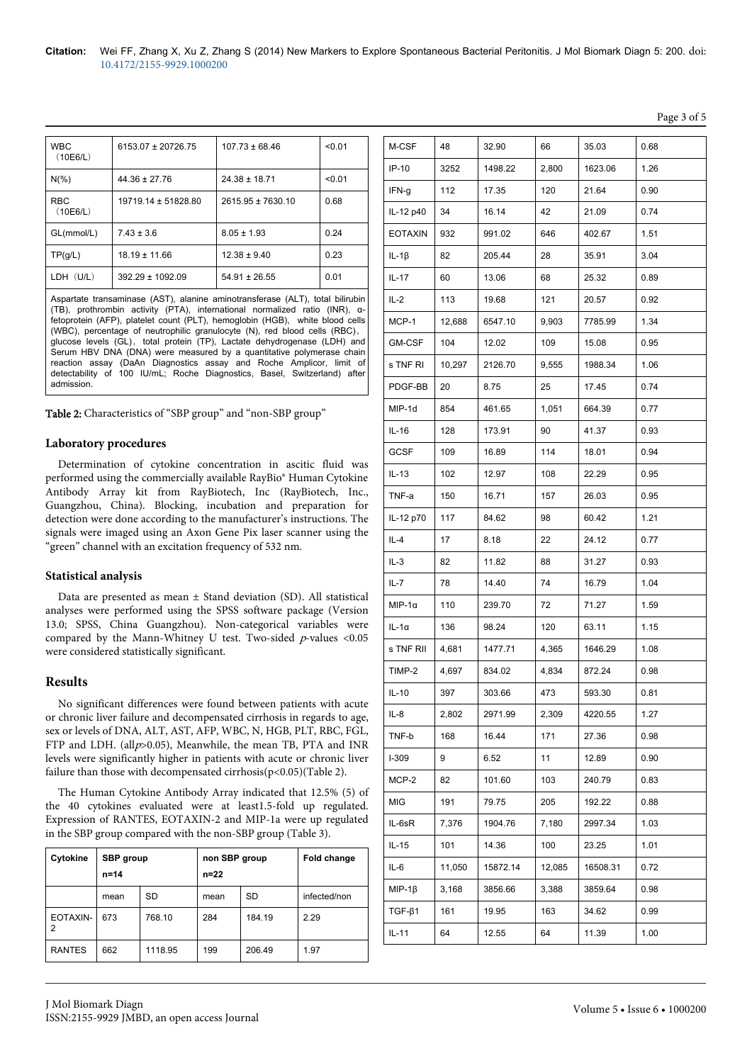| <b>WBC</b><br>(10E6/L) | 6153.07 ± 20726.75   | $107.73 \pm 68.46$    | < 0.01 |
|------------------------|----------------------|-----------------------|--------|
| $N(\% )$               | $44.36 \pm 27.76$    | $24.38 \pm 18.71$     | < 0.01 |
| <b>RBC</b><br>(10E6/L) | 19719.14 ± 51828.80  | $2615.95 \pm 7630.10$ | 0.68   |
| GL(mmol/L)             | $7.43 \pm 3.6$       | $8.05 \pm 1.93$       | 0.24   |
| TP(g/L)                | $18.19 \pm 11.66$    | $12.38 \pm 9.40$      | 0.23   |
| $LDH$ $(U/L)$          | $392.29 \pm 1092.09$ | $54.91 \pm 26.55$     | 0.01   |

Aspartate transaminase (AST), alanine aminotransferase (ALT), total bilirubin (TB), prothrombin activity (PTA), international normalized ratio (INR), αfetoprotein (AFP), platelet count (PLT), hemoglobin (HGB), white blood cells (WBC), percentage of neutrophilic granulocyte (N), red blood cells (RBC), glucose levels (GL), total protein (TP), Lactate dehydrogenase (LDH) and Serum HBV DNA (DNA) were measured by a quantitative polymerase chain reaction assay (DaAn Diagnostics assay and Roche Amplicor, limit of detectability of 100 IU/mL; Roche Diagnostics, Basel, Switzerland) after admission.

Table 2: Characteristics of "SBP group" and "non-SBP group"

# **Laboratory procedures**

Determination of cytokine concentration in ascitic fluid was performed using the commercially available RayBio® Human Cytokine Antibody Array kit from RayBiotech, Inc (RayBiotech, Inc., Guangzhou, China). Blocking, incubation and preparation for detection were done according to the manufacturer's instructions. The signals were imaged using an Axon Gene Pix laser scanner using the "green" channel with an excitation frequency of 532 nm.

#### **Statistical analysis**

Data are presented as mean ± Stand deviation (SD). All statistical analyses were performed using the SPSS software package (Version 13.0; SPSS, China Guangzhou). Non-categorical variables were compared by the Mann-Whitney U test. Two-sided  $p$ -values <0.05 were considered statistically significant.

# **Results**

No significant differences were found between patients with acute or chronic liver failure and decompensated cirrhosis in regards to age, sex or levels of DNA, ALT, AST, AFP, WBC, N, HGB, PLT, RBC, FGL, FTP and LDH. (allp>0.05), Meanwhile, the mean TB, PTA and INR levels were significantly higher in patients with acute or chronic liver failure than those with decompensated cirrhosis(p<0.05)(Table 2).

The Human Cytokine Antibody Array indicated that 12.5% (5) of the 40 cytokines evaluated were at least1.5-fold up regulated. Expression of RANTES, EOTAXIN-2 and MIP-1a were up regulated in the SBP group compared with the non-SBP group (Table 3).

| Cytokine      | <b>SBP</b> group<br>$n = 14$ |           | non SBP group<br>n=22 |           | Fold change  |
|---------------|------------------------------|-----------|-----------------------|-----------|--------------|
|               | mean                         | <b>SD</b> | mean                  | <b>SD</b> | infected/non |
| EOTAXIN-<br>2 | 673                          | 768.10    | 284                   | 184.19    | 2.29         |
| <b>RANTES</b> | 662                          | 1118.95   | 199                   | 206.49    | 1.97         |

| M-CSF          | 48     | 32.90    | 66     | 35.03    | 0.68 |
|----------------|--------|----------|--------|----------|------|
| $IP-10$        | 3252   | 1498.22  | 2,800  | 1623.06  | 1.26 |
| IFN-g          | 112    | 17.35    | 120    | 21.64    | 0.90 |
| IL-12 p40      | 34     | 16.14    | 42     | 21.09    | 0.74 |
| <b>EOTAXIN</b> | 932    | 991.02   | 646    | 402.67   | 1.51 |
| $IL-1\beta$    | 82     | 205.44   | 28     | 35.91    | 3.04 |
| $IL-17$        | 60     | 13.06    | 68     | 25.32    | 0.89 |
| IL-2           | 113    | 19.68    | 121    | 20.57    | 0.92 |
| MCP-1          | 12,688 | 6547.10  | 9,903  | 7785.99  | 1.34 |
| GM-CSF         | 104    | 12.02    | 109    | 15.08    | 0.95 |
| s TNF RI       | 10,297 | 2126.70  | 9,555  | 1988.34  | 1.06 |
| PDGF-BB        | 20     | 8.75     | 25     | 17.45    | 0.74 |
| MIP-1d         | 854    | 461.65   | 1,051  | 664.39   | 0.77 |
| IL-16          | 128    | 173.91   | 90     | 41.37    | 0.93 |
| <b>GCSF</b>    | 109    | 16.89    | 114    | 18.01    | 0.94 |
| $IL-13$        | 102    | 12.97    | 108    | 22.29    | 0.95 |
| TNF-a          | 150    | 16.71    | 157    | 26.03    | 0.95 |
| IL-12 p70      | 117    | 84.62    | 98     | 60.42    | 1.21 |
| $IL-4$         | 17     | 8.18     | 22     | 24.12    | 0.77 |
| IL-3           | 82     | 11.82    | 88     | 31.27    | 0.93 |
| IL-7           | 78     | 14.40    | 74     | 16.79    | 1.04 |
| $MIP-1\alpha$  | 110    | 239.70   | 72     | 71.27    | 1.59 |
| $IL-1\alpha$   | 136    | 98.24    | 120    | 63.11    | 1.15 |
| s TNF RII      | 4,681  | 1477.71  | 4,365  | 1646.29  | 1.08 |
| TIMP-2         | 4,697  | 834.02   | 4,834  | 872.24   | 0.98 |
| $IL-10$        | 397    | 303.66   | 473    | 593.30   | 0.81 |
| IL-8           | 2,802  | 2971.99  | 2,309  | 4220.55  | 1.27 |
| TNF-b          | 168    | 16.44    | 171    | 27.36    | 0.98 |
| $I-309$        | 9      | 6.52     | 11     | 12.89    | 0.90 |
| MCP-2          | 82     | 101.60   | 103    | 240.79   | 0.83 |
| MIG            | 191    | 79.75    | 205    | 192.22   | 0.88 |
| IL-6sR         | 7,376  | 1904.76  | 7,180  | 2997.34  | 1.03 |
| $IL-15$        | 101    | 14.36    | 100    | 23.25    | 1.01 |
| IL-6           | 11,050 | 15872.14 | 12,085 | 16508.31 | 0.72 |
| $MIP-1\beta$   | 3,168  | 3856.66  | 3,388  | 3859.64  | 0.98 |
| $TGF-\beta1$   | 161    | 19.95    | 163    | 34.62    | 0.99 |
| $IL-11$        | 64     | 12.55    | 64     | 11.39    | 1.00 |

Page 3 of 5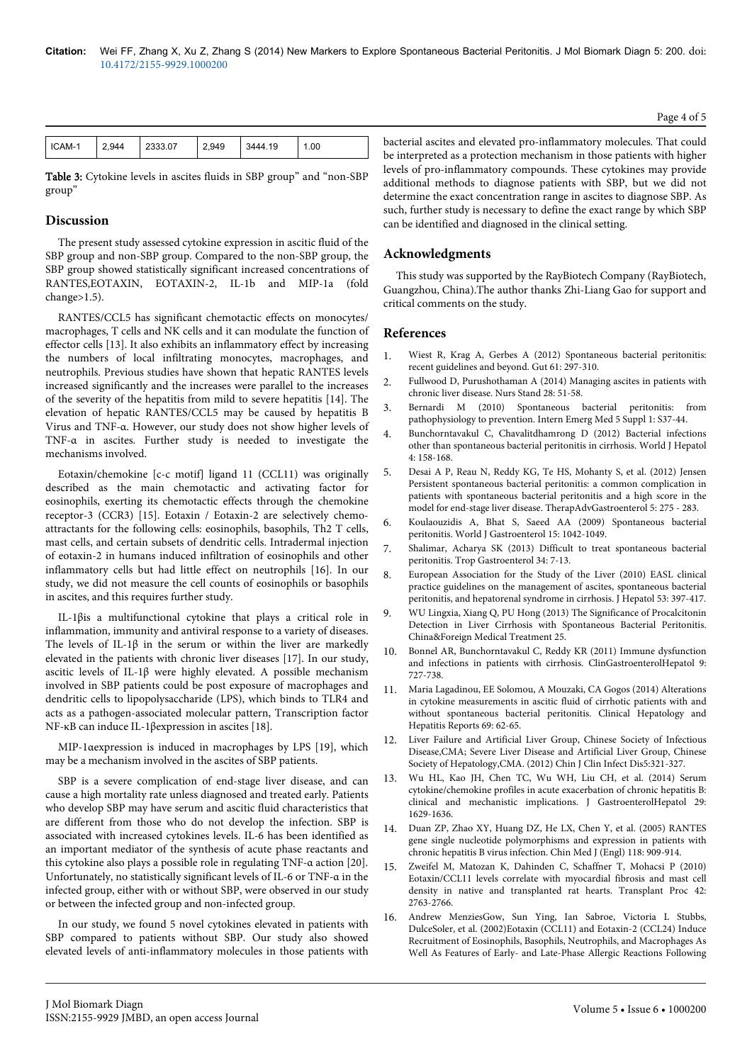| $\mid$ ICAM-1 | 2 Q44 | 2333.07 | 2.949 | 3444.19 | 00 |
|---------------|-------|---------|-------|---------|----|
|               |       |         |       |         |    |

Table 3: Cytokine levels in ascites fluids in SBP group" and "non-SBP group"

# **Discussion**

The present study assessed cytokine expression in ascitic fluid of the SBP group and non-SBP group. Compared to the non-SBP group, the SBP group showed statistically significant increased concentrations of RANTES, EOTAXIN, EOTAXIN-2, IL-1b and MIP-1a change>1.5).

RANTES/CCL5 has significant chemotactic effects on monocytes/ macrophages, T cells and NK cells and it can modulate the function of effector cells [13]. It also exhibits an inflammatory effect by increasing the numbers of local infiltrating monocytes, macrophages, and neutrophils. Previous studies have shown that hepatic RANTES levels increased significantly and the increases were parallel to the increases of the severity of the hepatitis from mild to severe hepatitis [14]. The elevation of hepatic RANTES/CCL5 may be caused by hepatitis B Virus and TNF-α. However, our study does not show higher levels of TNF-α in ascites. Further study is needed to investigate the mechanisms involved.

Eotaxin/chemokine [c-c motif] ligand 11 (CCL11) was originally described as the main chemotactic and activating factor for eosinophils, exerting its chemotactic effects through the chemokine receptor-3 (CCR3) [15]. Eotaxin / Eotaxin-2 are selectively chemoattractants for the following cells: eosinophils, basophils, Th2 T cells, mast cells, and certain subsets of dendritic cells. Intradermal injection of eotaxin-2 in humans induced infiltration of eosinophils and other inflammatory cells but had little effect on neutrophils [16]. In our study, we did not measure the cell counts of eosinophils or basophils in ascites, and this requires further study.

IL-1βis a multifunctional cytokine that plays a critical role in inflammation, immunity and antiviral response to a variety of diseases. The levels of IL-1β in the serum or within the liver are markedly elevated in the patients with chronic liver diseases [17]. In our study, ascitic levels of IL-1β were highly elevated. A possible mechanism involved in SBP patients could be post exposure of macrophages and dendritic cells to lipopolysaccharide (LPS), which binds to TLR4 and acts as a pathogen-associated molecular pattern, Transcription factor NF-κB can induce IL-1βexpression in ascites [18].

MIP-1αexpression is induced in macrophages by LPS [19], which may be a mechanism involved in the ascites of SBP patients.

SBP is a severe complication of end-stage liver disease, and can cause a high mortality rate unless diagnosed and treated early. Patients who develop SBP may have serum and ascitic fluid characteristics that are different from those who do not develop the infection. SBP is associated with increased cytokines levels. IL-6 has been identified as an important mediator of the synthesis of acute phase reactants and this cytokine also plays a possible role in regulating TNF-α action [20]. Unfortunately, no statistically significant levels of IL-6 or TNF-α in the infected group, either with or without SBP, were observed in our study or between the infected group and non-infected group.

In our study, we found 5 novel cytokines elevated in patients with SBP compared to patients without SBP. Our study also showed elevated levels of anti-inflammatory molecules in those patients with bacterial ascites and elevated pro-inflammatory molecules. That could be interpreted as a protection mechanism in those patients with higher levels of pro-inflammatory compounds. These cytokines may provide additional methods to diagnose patients with SBP, but we did not determine the exact concentration range in ascites to diagnose SBP. As such, further study is necessary to define the exact range by which SBP can be identified and diagnosed in the clinical setting.

# **Acknowledgments**

This study was supported by the RayBiotech Company (RayBiotech, Guangzhou, China).The author thanks Zhi-Liang Gao for support and critical comments on the study.

#### **References**

- 1. [Wiest R, Krag A, Gerbes A \(2012\) Spontaneous bacterial peritonitis:](http://www.ncbi.nlm.nih.gov/pubmed/22147550) [recent guidelines and beyond. Gut 61: 297-310.](http://www.ncbi.nlm.nih.gov/pubmed/22147550)
- 2. [Fullwood D, Purushothaman A \(2014\) Managing ascites in patients with](http://www.ncbi.nlm.nih.gov/pubmed/24494916) [chronic liver disease. Nurs Stand 28: 51-58.](http://www.ncbi.nlm.nih.gov/pubmed/24494916)
- 3. [Bernardi M \(2010\) Spontaneous bacterial peritonitis: from](http://www.ncbi.nlm.nih.gov/pubmed/20865473) [pathophysiology to prevention. Intern Emerg Med 5 Suppl 1: S37-44.](http://www.ncbi.nlm.nih.gov/pubmed/20865473)
- 4. [Bunchorntavakul C, Chavalitdhamrong D \(2012\) Bacterial infections](http://www.ncbi.nlm.nih.gov/pubmed/22662285) [other than spontaneous bacterial peritonitis in cirrhosis. World J Hepatol](http://www.ncbi.nlm.nih.gov/pubmed/22662285) [4: 158-168.](http://www.ncbi.nlm.nih.gov/pubmed/22662285)
- 5. [Desai A P, Reau N, Reddy KG, Te HS, Mohanty S, et al. \(2012\) Jensen](http://www.ncbi.nlm.nih.gov/pmc/articles/PMC3437533/) [Persistent spontaneous bacterial peritonitis: a common complication in](http://www.ncbi.nlm.nih.gov/pmc/articles/PMC3437533/) [patients with spontaneous bacterial peritonitis and a high score in the](http://www.ncbi.nlm.nih.gov/pmc/articles/PMC3437533/) [model for end-stage liver disease. TherapAdvGastroenterol 5: 275 - 283.](http://www.ncbi.nlm.nih.gov/pmc/articles/PMC3437533/)
- 6. [Koulaouzidis A, Bhat S, Saeed AA \(2009\) Spontaneous bacterial](http://www.ncbi.nlm.nih.gov/pubmed/19266595) [peritonitis. World J Gastroenterol 15: 1042-1049.](http://www.ncbi.nlm.nih.gov/pubmed/19266595)
- 7. [Shalimar, Acharya SK \(2013\) Difficult to treat spontaneous bacterial](http://www.ncbi.nlm.nih.gov/pubmed/23923368) [peritonitis. Trop Gastroenterol 34: 7-13.](http://www.ncbi.nlm.nih.gov/pubmed/23923368)
- 8. [European Association for the Study of the Liver \(2010\) EASL clinical](http://www.ncbi.nlm.nih.gov/pubmed/20633946) [practice guidelines on the management of ascites, spontaneous bacterial](http://www.ncbi.nlm.nih.gov/pubmed/20633946) [peritonitis, and hepatorenal syndrome in cirrhosis. J Hepatol 53: 397-417.](http://www.ncbi.nlm.nih.gov/pubmed/20633946)
- 9. WU Lingxia, Xiang Q, PU Hong (2013) The Significance of Procalcitonin Detection in Liver Cirrhosis with Spontaneous Bacterial Peritonitis. China&Foreign Medical Treatment 25.
- 10. [Bonnel AR, Bunchorntavakul C, Reddy KR \(2011\) Immune dysfunction](http://www.ncbi.nlm.nih.gov/pubmed/21397731) [and infections in patients with cirrhosis. ClinGastroenterolHepatol 9:](http://www.ncbi.nlm.nih.gov/pubmed/21397731) [727-738.](http://www.ncbi.nlm.nih.gov/pubmed/21397731)
- 11. [Maria Lagadinou, EE Solomou, A Mouzaki, CA Gogos \(2014\) Alterations](http://www.hoajonline.com/hepatolhepatitis/2055-088X/1/1) [in cytokine measurements in ascitic fluid of cirrhotic patients with and](http://www.hoajonline.com/hepatolhepatitis/2055-088X/1/1) [without spontaneous bacterial peritonitis. Clinical Hepatology and](http://www.hoajonline.com/hepatolhepatitis/2055-088X/1/1) [Hepatitis Reports 69: 62-65.](http://www.hoajonline.com/hepatolhepatitis/2055-088X/1/1)
- 12. Liver Failure and Artificial Liver Group, Chinese Society of Infectious Disease,CMA; Severe Liver Disease and Artificial Liver Group, Chinese Society of Hepatology,CMA. (2012) Chin J Clin Infect Dis5:321-327.
- 13. [Wu HL, Kao JH, Chen TC, Wu WH, Liu CH, et al. \(2014\) Serum](http://www.ncbi.nlm.nih.gov/pubmed/24730549) [cytokine/chemokine profiles in acute exacerbation of chronic hepatitis B:](http://www.ncbi.nlm.nih.gov/pubmed/24730549) [clinical and mechanistic implications. J GastroenterolHepatol 29:](http://www.ncbi.nlm.nih.gov/pubmed/24730549) [1629-1636.](http://www.ncbi.nlm.nih.gov/pubmed/24730549)
- 14. [Duan ZP, Zhao XY, Huang DZ, He LX, Chen Y, et al. \(2005\) RANTES](http://www.ncbi.nlm.nih.gov/pubmed/15978191) [gene single nucleotide polymorphisms and expression in patients with](http://www.ncbi.nlm.nih.gov/pubmed/15978191) [chronic hepatitis B virus infection. Chin Med J \(Engl\) 118: 909-914.](http://www.ncbi.nlm.nih.gov/pubmed/15978191)
- 15. [Zweifel M, Matozan K, Dahinden C, Schaffner T, Mohacsi P \(2010\)](http://www.ncbi.nlm.nih.gov/pubmed/20832583) [Eotaxin/CCL11 levels correlate with myocardial fibrosis and mast cell](http://www.ncbi.nlm.nih.gov/pubmed/20832583) [density in native and transplanted rat hearts. Transplant Proc 42:](http://www.ncbi.nlm.nih.gov/pubmed/20832583) [2763-2766.](http://www.ncbi.nlm.nih.gov/pubmed/20832583)
- 16. [Andrew MenziesGow, Sun Ying, Ian Sabroe, Victoria L Stubbs,](http://www.jimmunol.org/content/169/5/2712.long) [DulceSoler, et al. \(2002\)Eotaxin \(CCL11\) and Eotaxin-2 \(CCL24\) Induce](http://www.jimmunol.org/content/169/5/2712.long) [Recruitment of Eosinophils, Basophils, Neutrophils, and Macrophages As](http://www.jimmunol.org/content/169/5/2712.long) [Well As Features of Early- and Late-Phase Allergic Reactions Following](http://www.jimmunol.org/content/169/5/2712.long)